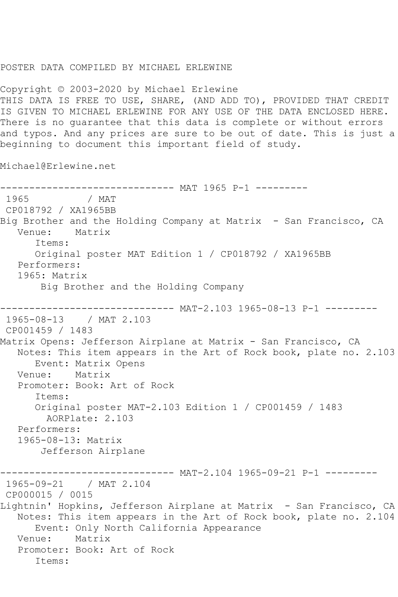## POSTER DATA COMPILED BY MICHAEL ERLEWINE

Copyright © 2003-2020 by Michael Erlewine THIS DATA IS FREE TO USE, SHARE, (AND ADD TO), PROVIDED THAT CREDIT IS GIVEN TO MICHAEL ERLEWINE FOR ANY USE OF THE DATA ENCLOSED HERE. There is no guarantee that this data is complete or without errors and typos. And any prices are sure to be out of date. This is just a beginning to document this important field of study.

Michael@Erlewine.net

------------------------------ MAT 1965 P-1 --------- / MAT CP018792 / XA1965BB Big Brother and the Holding Company at Matrix - San Francisco, CA Venue: Matrix Items: Original poster MAT Edition 1 / CP018792 / XA1965BB Performers: 1965: Matrix Big Brother and the Holding Company ------------------------------ MAT-2.103 1965-08-13 P-1 --------- 1965-08-13 / MAT 2.103 CP001459 / 1483 Matrix Opens: Jefferson Airplane at Matrix - San Francisco, CA Notes: This item appears in the Art of Rock book, plate no. 2.103 Event: Matrix Opens<br>
ue: Matrix Venue: Promoter: Book: Art of Rock Items: Original poster MAT-2.103 Edition 1 / CP001459 / 1483 AORPlate: 2.103 Performers: 1965-08-13: Matrix Jefferson Airplane ------------ MAT-2.104 1965-09-21 P-1 ---------1965-09-21 / MAT 2.104 CP000015 / 0015 Lightnin' Hopkins, Jefferson Airplane at Matrix - San Francisco, CA Notes: This item appears in the Art of Rock book, plate no. 2.104 Event: Only North California Appearance Venue: Matrix Promoter: Book: Art of Rock Items: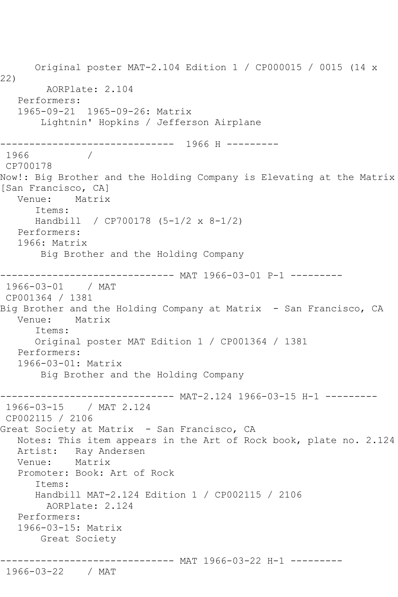Original poster MAT-2.104 Edition 1 / CP000015 / 0015 (14 x 22) AORPlate: 2.104 Performers: 1965-09-21 1965-09-26: Matrix Lightnin' Hopkins / Jefferson Airplane ------------------------------ 1966 H --------- 1966 / CP700178 Now!: Big Brother and the Holding Company is Elevating at the Matrix [San Francisco, CA]<br>Venue: Matrix Matrix Items: Handbill / CP700178 (5-1/2 x 8-1/2) Performers: 1966: Matrix Big Brother and the Holding Company ------------------------------ MAT 1966-03-01 P-1 --------- 1966-03-01 / MAT CP001364 / 1381 Big Brother and the Holding Company at Matrix – San Francisco, CA<br>Venue: Matrix Matrix Items: Original poster MAT Edition 1 / CP001364 / 1381 Performers: 1966-03-01: Matrix Big Brother and the Holding Company ------------------------------ MAT-2.124 1966-03-15 H-1 --------- 1966-03-15 / MAT 2.124 CP002115 / 2106 Great Society at Matrix - San Francisco, CA Notes: This item appears in the Art of Rock book, plate no. 2.124 Artist: Ray Andersen<br>Venue: Matrix Venue: Promoter: Book: Art of Rock Items: Handbill MAT-2.124 Edition 1 / CP002115 / 2106 AORPlate: 2.124 Performers: 1966-03-15: Matrix Great Society ------------------------------ MAT 1966-03-22 H-1 --------- 1966-03-22 / MAT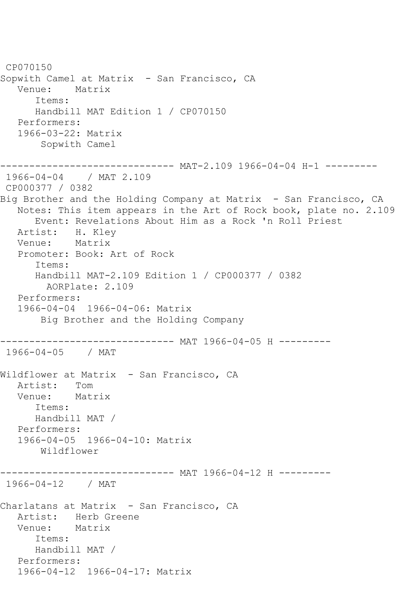CP070150 Sopwith Camel at Matrix - San Francisco, CA Venue: Matrix Items: Handbill MAT Edition 1 / CP070150 Performers: 1966-03-22: Matrix Sopwith Camel ------------------------------ MAT-2.109 1966-04-04 H-1 --------- 1966-04-04 / MAT 2.109 CP000377 / 0382 Big Brother and the Holding Company at Matrix - San Francisco, CA Notes: This item appears in the Art of Rock book, plate no. 2.109 Event: Revelations About Him as a Rock 'n Roll Priest Artist: H. Kley Venue: Matrix Promoter: Book: Art of Rock Items: Handbill MAT-2.109 Edition 1 / CP000377 / 0382 AORPlate: 2.109 Performers: 1966-04-04 1966-04-06: Matrix Big Brother and the Holding Company ------------------------------ MAT 1966-04-05 H --------- 1966-04-05 / MAT Wildflower at Matrix – San Francisco, CA<br>Artist: Tom Artist: Tom<br>Venue: Matrix Venue: Items: Handbill MAT / Performers: 1966-04-05 1966-04-10: Matrix Wildflower ----------- MAT 1966-04-12 H ---------1966-04-12 / MAT Charlatans at Matrix - San Francisco, CA Artist: Herb Greene Venue: Matrix Items: Handbill MAT / Performers: 1966-04-12 1966-04-17: Matrix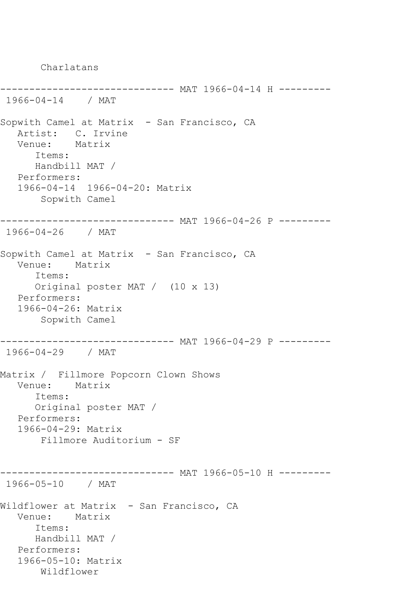Charlatans --------------- MAT 1966-04-14 H ---------1966-04-14 / MAT Sopwith Camel at Matrix - San Francisco, CA Artist: C. Irvine Venue: Matrix Items: Handbill MAT / Performers: 1966-04-14 1966-04-20: Matrix Sopwith Camel ------------------------------ MAT 1966-04-26 P --------- 1966-04-26 / MAT Sopwith Camel at Matrix - San Francisco, CA Venue: Matrix Items: Original poster MAT / (10 x 13) Performers: 1966-04-26: Matrix Sopwith Camel ------------------------------ MAT 1966-04-29 P --------- 1966-04-29 / MAT Matrix / Fillmore Popcorn Clown Shows Venue: Matrix Items: Original poster MAT / Performers: 1966-04-29: Matrix Fillmore Auditorium - SF ------------------------------ MAT 1966-05-10 H --------- 1966-05-10 / MAT Wildflower at Matrix - San Francisco, CA Venue: Matrix Items: Handbill MAT / Performers: 1966-05-10: Matrix Wildflower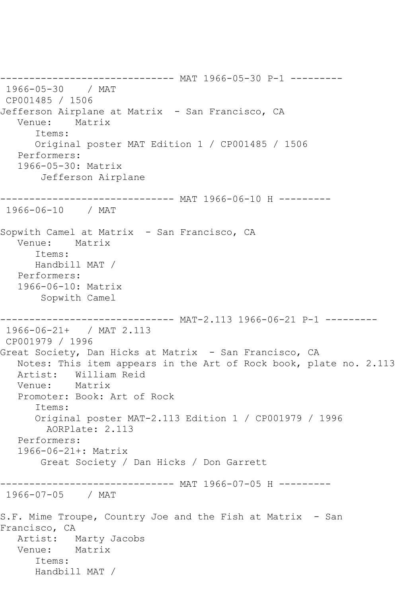------------------------------ MAT 1966-05-30 P-1 --------- 1966-05-30 / MAT CP001485 / 1506 Jefferson Airplane at Matrix - San Francisco, CA Venue: Matrix Items: Original poster MAT Edition 1 / CP001485 / 1506 Performers: 1966-05-30: Matrix Jefferson Airplane ------------------------------ MAT 1966-06-10 H --------- 1966-06-10 / MAT Sopwith Camel at Matrix - San Francisco, CA Venue: Matrix Items: Handbill MAT / Performers: 1966-06-10: Matrix Sopwith Camel ------------------------------ MAT-2.113 1966-06-21 P-1 --------- 1966-06-21+ / MAT 2.113 CP001979 / 1996 Great Society, Dan Hicks at Matrix - San Francisco, CA Notes: This item appears in the Art of Rock book, plate no. 2.113 Artist: William Reid Venue: Matrix Promoter: Book: Art of Rock Items: Original poster MAT-2.113 Edition 1 / CP001979 / 1996 AORPlate: 2.113 Performers: 1966-06-21+: Matrix Great Society / Dan Hicks / Don Garrett ------------------------------ MAT 1966-07-05 H --------- 1966-07-05 / MAT S.F. Mime Troupe, Country Joe and the Fish at Matrix - San Francisco, CA Artist: Marty Jacobs Venue: Matrix Items: Handbill MAT /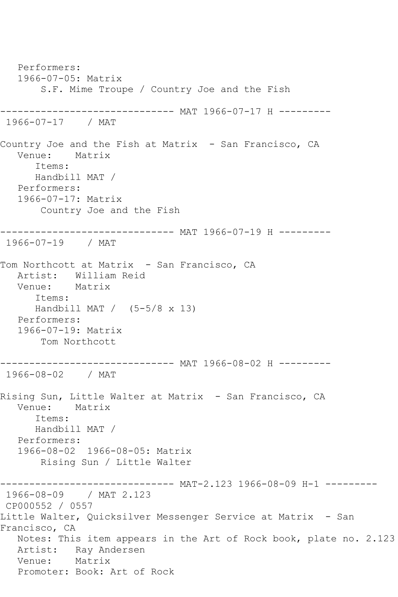Performers: 1966-07-05: Matrix S.F. Mime Troupe / Country Joe and the Fish ------------------------------ MAT 1966-07-17 H --------- 1966-07-17 / MAT Country Joe and the Fish at Matrix - San Francisco, CA Venue: Matrix Items: Handbill MAT / Performers: 1966-07-17: Matrix Country Joe and the Fish ------------------------------ MAT 1966-07-19 H --------- 1966-07-19 / MAT Tom Northcott at Matrix - San Francisco, CA Artist: William Reid<br>Venue: Matrix Venue: Items: Handbill MAT  $/$  (5-5/8 x 13) Performers: 1966-07-19: Matrix Tom Northcott ------------------------------ MAT 1966-08-02 H --------- 1966-08-02 / MAT Rising Sun, Little Walter at Matrix - San Francisco, CA Venue: Matrix Items: Handbill MAT / Performers: 1966-08-02 1966-08-05: Matrix Rising Sun / Little Walter ------------------------------ MAT-2.123 1966-08-09 H-1 --------- 1966-08-09 / MAT 2.123 CP000552 / 0557 Little Walter, Quicksilver Messenger Service at Matrix - San Francisco, CA Notes: This item appears in the Art of Rock book, plate no. 2.123 Artist: Ray Andersen Venue: Matrix Promoter: Book: Art of Rock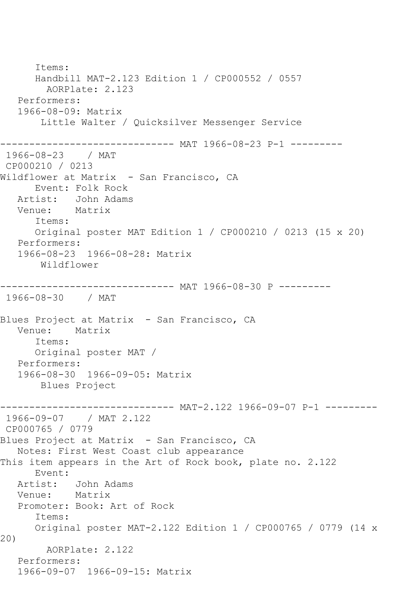Items: Handbill MAT-2.123 Edition 1 / CP000552 / 0557 AORPlate: 2.123 Performers: 1966-08-09: Matrix Little Walter / Quicksilver Messenger Service ------------------------------ MAT 1966-08-23 P-1 --------- 1966-08-23 / MAT CP000210 / 0213 Wildflower at Matrix - San Francisco, CA Event: Folk Rock Artist: John Adams Venue: Matrix Items: Original poster MAT Edition 1 / CP000210 / 0213 (15 x 20) Performers: 1966-08-23 1966-08-28: Matrix Wildflower ------------------------------ MAT 1966-08-30 P --------- 1966-08-30 / MAT Blues Project at Matrix - San Francisco, CA Venue: Matrix Items: Original poster MAT / Performers: 1966-08-30 1966-09-05: Matrix Blues Project ------------------------------ MAT-2.122 1966-09-07 P-1 --------- 1966-09-07 / MAT 2.122 CP000765 / 0779 Blues Project at Matrix - San Francisco, CA Notes: First West Coast club appearance This item appears in the Art of Rock book, plate no. 2.122 Event: Artist: John Adams Venue: Matrix Promoter: Book: Art of Rock Items: Original poster MAT-2.122 Edition 1 / CP000765 / 0779 (14 x 20) AORPlate: 2.122 Performers: 1966-09-07 1966-09-15: Matrix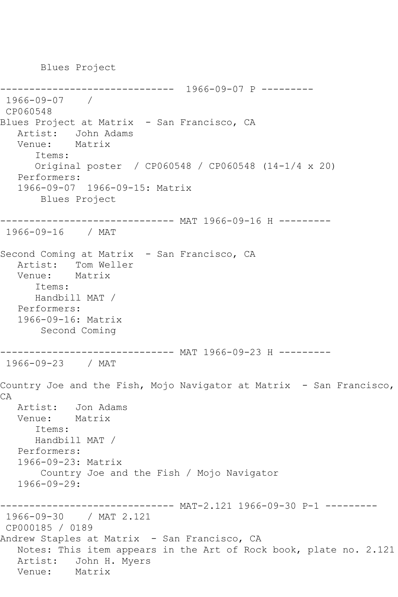Blues Project

------------------------------ 1966-09-07 P --------- 1966-09-07 / CP060548 Blues Project at Matrix - San Francisco, CA Artist: John Adams Venue: Matrix Items: Original poster / CP060548 / CP060548 (14-1/4 x 20) Performers: 1966-09-07 1966-09-15: Matrix Blues Project ------------------------------ MAT 1966-09-16 H --------- 1966-09-16 / MAT Second Coming at Matrix - San Francisco, CA Artist: Tom Weller Venue: Matrix Items: Handbill MAT / Performers: 1966-09-16: Matrix Second Coming ------------------------------ MAT 1966-09-23 H --------- 1966-09-23 / MAT Country Joe and the Fish, Mojo Navigator at Matrix - San Francisco, CA Artist: Jon Adams Venue: Matrix Items: Handbill MAT / Performers: 1966-09-23: Matrix Country Joe and the Fish / Mojo Navigator 1966-09-29: ------------------------------ MAT-2.121 1966-09-30 P-1 --------- 1966-09-30 / MAT 2.121 CP000185 / 0189 Andrew Staples at Matrix - San Francisco, CA Notes: This item appears in the Art of Rock book, plate no. 2.121 Artist: John H. Myers<br>Venue: Matrix Venue: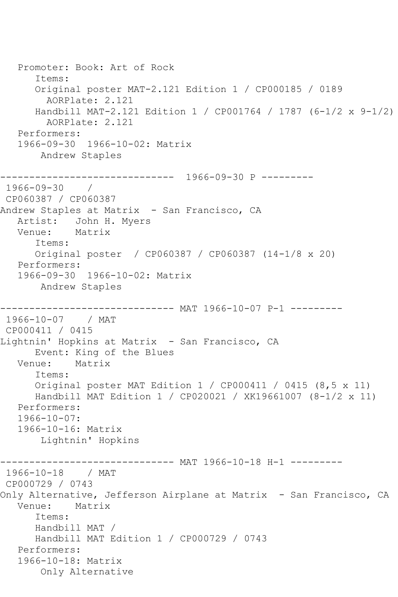Promoter: Book: Art of Rock Items: Original poster MAT-2.121 Edition 1 / CP000185 / 0189 AORPlate: 2.121 Handbill MAT-2.121 Edition 1 / CP001764 / 1787 (6-1/2 x 9-1/2) AORPlate: 2.121 Performers: 1966-09-30 1966-10-02: Matrix Andrew Staples ------------------------------ 1966-09-30 P --------- 1966-09-30 / CP060387 / CP060387 Andrew Staples at Matrix - San Francisco, CA Artist: John H. Myers<br>Venue: Matrix Venue: Items: Original poster / CP060387 / CP060387 (14-1/8 x 20) Performers: 1966-09-30 1966-10-02: Matrix Andrew Staples --------------- MAT 1966-10-07 P-1 ---------1966-10-07 / MAT CP000411 / 0415 Lightnin' Hopkins at Matrix - San Francisco, CA Event: King of the Blues Venue: Matrix Items: Original poster MAT Edition 1 / CP000411 / 0415 (8,5 x 11) Handbill MAT Edition 1 / CP020021 / XK19661007 (8-1/2 x 11) Performers: 1966-10-07: 1966-10-16: Matrix Lightnin' Hopkins ------------------------------ MAT 1966-10-18 H-1 --------- 1966-10-18 / MAT CP000729 / 0743 Only Alternative, Jefferson Airplane at Matrix - San Francisco, CA Venue: Matrix Items: Handbill MAT / Handbill MAT Edition 1 / CP000729 / 0743 Performers: 1966-10-18: Matrix Only Alternative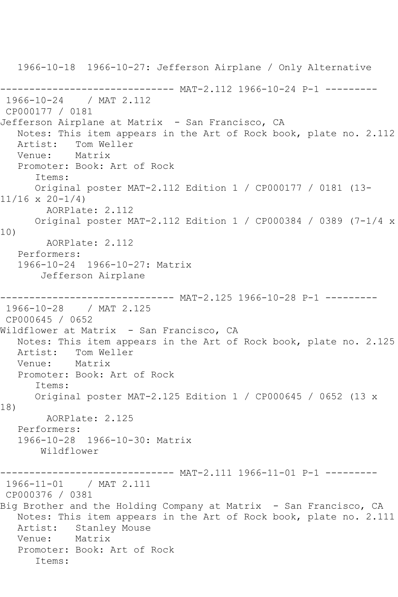1966-10-18 1966-10-27: Jefferson Airplane / Only Alternative ------------------------------ MAT-2.112 1966-10-24 P-1 --------- 1966-10-24 / MAT 2.112 CP000177 / 0181 Jefferson Airplane at Matrix - San Francisco, CA Notes: This item appears in the Art of Rock book, plate no. 2.112<br>Artist: Tom Weller Tom Weller<br>Matrix Venue: Promoter: Book: Art of Rock Items: Original poster MAT-2.112 Edition 1 / CP000177 / 0181 (13- 11/16 x 20-1/4) AORPlate: 2.112 Original poster MAT-2.112 Edition 1 / CP000384 / 0389 (7-1/4 x 10) AORPlate: 2.112 Performers: 1966-10-24 1966-10-27: Matrix Jefferson Airplane ------ MAT-2.125 1966-10-28 P-1 ---------1966-10-28 / MAT 2.125 CP000645 / 0652 Wildflower at Matrix - San Francisco, CA Notes: This item appears in the Art of Rock book, plate no. 2.125<br>Artist: Tom Weller Tom Weller<br>Matrix Venue: Promoter: Book: Art of Rock Items: Original poster MAT-2.125 Edition 1 / CP000645 / 0652 (13 x 18) AORPlate: 2.125 Performers: 1966-10-28 1966-10-30: Matrix Wildflower ----- MAT-2.111 1966-11-01 P-1 ---------1966-11-01 / MAT 2.111 CP000376 / 0381 Big Brother and the Holding Company at Matrix - San Francisco, CA Notes: This item appears in the Art of Rock book, plate no. 2.111 Artist: Stanley Mouse<br>Venue: Matrix Venue: Promoter: Book: Art of Rock Items: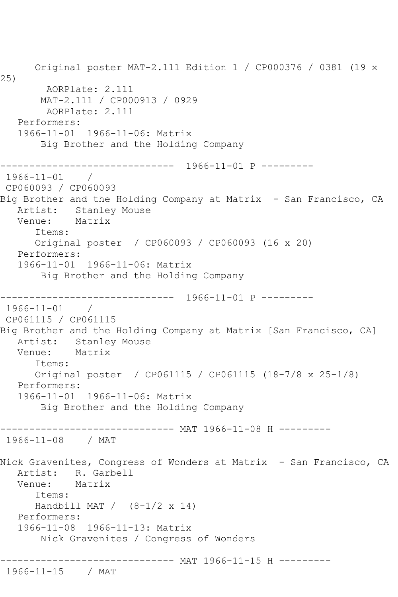Original poster MAT-2.111 Edition 1 / CP000376 / 0381 (19 x 25) AORPlate: 2.111 MAT-2.111 / CP000913 / 0929 AORPlate: 2.111 Performers: 1966-11-01 1966-11-06: Matrix Big Brother and the Holding Company ------------------------------ 1966-11-01 P --------- 1966-11-01 / CP060093 / CP060093 Big Brother and the Holding Company at Matrix - San Francisco, CA Artist: Stanley Mouse<br>Venue: Matrix Venue: Items: Original poster / CP060093 / CP060093 (16 x 20) Performers: 1966-11-01 1966-11-06: Matrix Big Brother and the Holding Company ------------------------------ 1966-11-01 P --------- 1966-11-01 / CP061115 / CP061115 Big Brother and the Holding Company at Matrix [San Francisco, CA] Artist: Stanley Mouse<br>Venue: Matrix Matrix Items: Original poster / CP061115 / CP061115 (18-7/8 x 25-1/8) Performers: 1966-11-01 1966-11-06: Matrix Big Brother and the Holding Company ------------------------------ MAT 1966-11-08 H --------- 1966-11-08 / MAT Nick Gravenites, Congress of Wonders at Matrix - San Francisco, CA Artist: R. Garbell<br>Venue: Matrix Venue: Items: Handbill MAT  $/$  (8-1/2 x 14) Performers: 1966-11-08 1966-11-13: Matrix Nick Gravenites / Congress of Wonders ------------------------------ MAT 1966-11-15 H --------- 1966-11-15 / MAT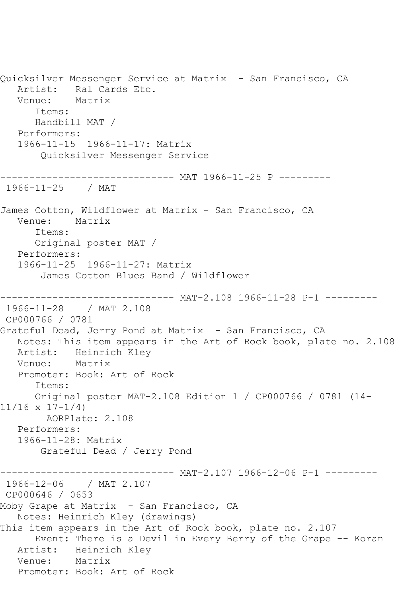Quicksilver Messenger Service at Matrix - San Francisco, CA Artist: Ral Cards Etc.<br>Venue: Matrix Venue: Items: Handbill MAT / Performers: 1966-11-15 1966-11-17: Matrix Quicksilver Messenger Service ------------------------------ MAT 1966-11-25 P --------- 1966-11-25 / MAT James Cotton, Wildflower at Matrix - San Francisco, CA Venue: Matrix Items: Original poster MAT / Performers: 1966-11-25 1966-11-27: Matrix James Cotton Blues Band / Wildflower ------- MAT-2.108 1966-11-28 P-1 ---------1966-11-28 / MAT 2.108 CP000766 / 0781 Grateful Dead, Jerry Pond at Matrix - San Francisco, CA Notes: This item appears in the Art of Rock book, plate no. 2.108 Artist: Heinrich Kley<br>Venue: Matrix Venue: Promoter: Book: Art of Rock Items: Original poster MAT-2.108 Edition 1 / CP000766 / 0781 (14- 11/16 x 17-1/4) AORPlate: 2.108 Performers: 1966-11-28: Matrix Grateful Dead / Jerry Pond ------------------------------ MAT-2.107 1966-12-06 P-1 --------- 1966-12-06 / MAT 2.107 CP000646 / 0653 Moby Grape at Matrix - San Francisco, CA Notes: Heinrich Kley (drawings) This item appears in the Art of Rock book, plate no. 2.107 Event: There is a Devil in Every Berry of the Grape -- Koran Artist: Heinrich Kley Venue: Matrix Promoter: Book: Art of Rock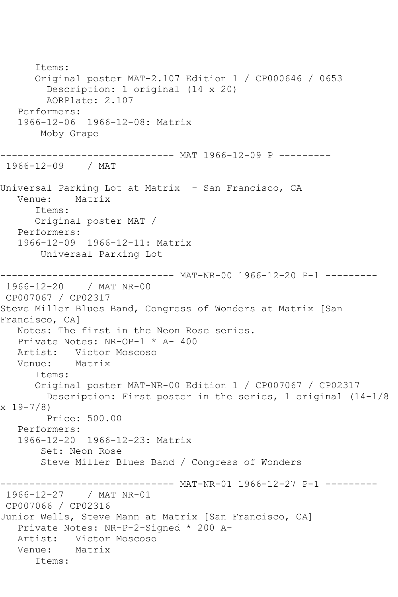Items: Original poster MAT-2.107 Edition 1 / CP000646 / 0653 Description: 1 original (14 x 20) AORPlate: 2.107 Performers: 1966-12-06 1966-12-08: Matrix Moby Grape ------------------------------ MAT 1966-12-09 P --------- 1966-12-09 / MAT Universal Parking Lot at Matrix - San Francisco, CA Venue: Matrix Items: Original poster MAT / Performers: 1966-12-09 1966-12-11: Matrix Universal Parking Lot ------------------------------ MAT-NR-00 1966-12-20 P-1 --------- 1966-12-20 / MAT NR-00 CP007067 / CP02317 Steve Miller Blues Band, Congress of Wonders at Matrix [San Francisco, CA] Notes: The first in the Neon Rose series. Private Notes: NR-OP-1 \* A- 400 Artist: Victor Moscoso<br>Venue: Matrix Venue: Items: Original poster MAT-NR-00 Edition 1 / CP007067 / CP02317 Description: First poster in the series, 1 original (14-1/8 x 19-7/8) Price: 500.00 Performers: 1966-12-20 1966-12-23: Matrix Set: Neon Rose Steve Miller Blues Band / Congress of Wonders ------------------------------ MAT-NR-01 1966-12-27 P-1 --------- 1966-12-27 / MAT NR-01 CP007066 / CP02316 Junior Wells, Steve Mann at Matrix [San Francisco, CA] Private Notes: NR-P-2-Signed \* 200 A- Artist: Victor Moscoso Venue: Matrix Items: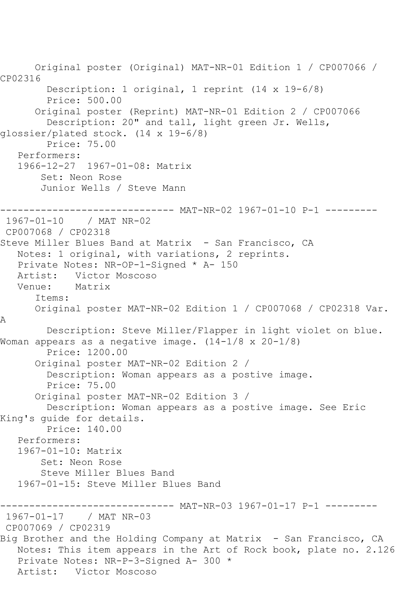Original poster (Original) MAT-NR-01 Edition 1 / CP007066 / CP02316 Description: 1 original, 1 reprint (14 x 19-6/8) Price: 500.00 Original poster (Reprint) MAT-NR-01 Edition 2 / CP007066 Description: 20" and tall, light green Jr. Wells, glossier/plated stock. (14 x 19-6/8) Price: 75.00 Performers: 1966-12-27 1967-01-08: Matrix Set: Neon Rose Junior Wells / Steve Mann ------------------------------ MAT-NR-02 1967-01-10 P-1 ---------<br>1967-01-10 / MAT NR-02 1967-01-10 CP007068 / CP02318 Steve Miller Blues Band at Matrix - San Francisco, CA Notes: 1 original, with variations, 2 reprints. Private Notes: NR-OP-1-Signed \* A- 150 Artist: Victor Moscoso Venue: Matrix Items: Original poster MAT-NR-02 Edition 1 / CP007068 / CP02318 Var. A Description: Steve Miller/Flapper in light violet on blue. Woman appears as a negative image. (14-1/8 x 20-1/8) Price: 1200.00 Original poster MAT-NR-02 Edition 2 / Description: Woman appears as a postive image. Price: 75.00 Original poster MAT-NR-02 Edition 3 / Description: Woman appears as a postive image. See Eric King's guide for details. Price: 140.00 Performers: 1967-01-10: Matrix Set: Neon Rose Steve Miller Blues Band 1967-01-15: Steve Miller Blues Band ----------------------------- MAT-NR-03 1967-01-17 P-1 --------<br>1967-01-17 / MAT NR-03 / MAT NR-03 CP007069 / CP02319 Big Brother and the Holding Company at Matrix - San Francisco, CA Notes: This item appears in the Art of Rock book, plate no. 2.126 Private Notes: NR-P-3-Signed A- 300 \* Artist: Victor Moscoso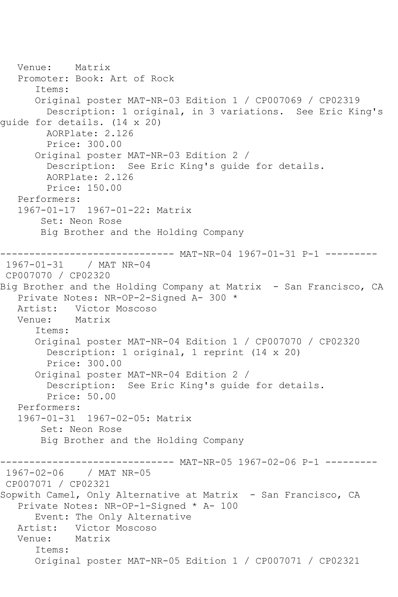Venue: Matrix Promoter: Book: Art of Rock Items: Original poster MAT-NR-03 Edition 1 / CP007069 / CP02319 Description: 1 original, in 3 variations. See Eric King's guide for details. (14 x 20) AORPlate: 2.126 Price: 300.00 Original poster MAT-NR-03 Edition 2 / Description: See Eric King's guide for details. AORPlate: 2.126 Price: 150.00 Performers: 1967-01-17 1967-01-22: Matrix Set: Neon Rose Big Brother and the Holding Company ------------------------------ MAT-NR-04 1967-01-31 P-1 --------- 1967-01-31 / MAT NR-04 CP007070 / CP02320 Big Brother and the Holding Company at Matrix - San Francisco, CA Private Notes: NR-OP-2-Signed A- 300 \* Artist: Victor Moscoso<br>Venue: Matrix Matrix Items: Original poster MAT-NR-04 Edition 1 / CP007070 / CP02320 Description: 1 original, 1 reprint (14 x 20) Price: 300.00 Original poster MAT-NR-04 Edition 2 / Description: See Eric King's guide for details. Price: 50.00 Performers: 1967-01-31 1967-02-05: Matrix Set: Neon Rose Big Brother and the Holding Company ------------------------------ MAT-NR-05 1967-02-06 P-1 --------- 1967-02-06 / MAT NR-05 CP007071 / CP02321 Sopwith Camel, Only Alternative at Matrix - San Francisco, CA Private Notes: NR-OP-1-Signed \* A- 100 Event: The Only Alternative<br>Artist: Victor Moscoso Victor Moscoso<br>Matrix Venue: Items: Original poster MAT-NR-05 Edition 1 / CP007071 / CP02321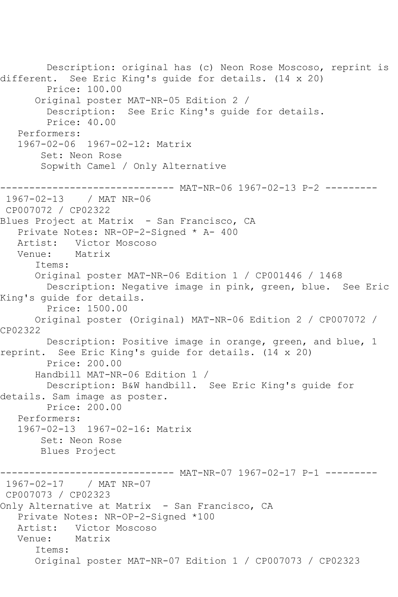Description: original has (c) Neon Rose Moscoso, reprint is different. See Eric King's guide for details. (14 x 20) Price: 100.00 Original poster MAT-NR-05 Edition 2 / Description: See Eric King's guide for details. Price: 40.00 Performers: 1967-02-06 1967-02-12: Matrix Set: Neon Rose Sopwith Camel / Only Alternative ------------------------------ MAT-NR-06 1967-02-13 P-2 --------- 1967-02-13 / MAT NR-06 CP007072 / CP02322 Blues Project at Matrix - San Francisco, CA Private Notes: NR-OP-2-Signed \* A- 400 Artist: Victor Moscoso<br>Venue: Matrix Venue: Items: Original poster MAT-NR-06 Edition 1 / CP001446 / 1468 Description: Negative image in pink, green, blue. See Eric King's guide for details. Price: 1500.00 Original poster (Original) MAT-NR-06 Edition 2 / CP007072 / CP02322 Description: Positive image in orange, green, and blue, 1 reprint. See Eric King's guide for details. (14 x 20) Price: 200.00 Handbill MAT-NR-06 Edition 1 / Description: B&W handbill. See Eric King's guide for details. Sam image as poster. Price: 200.00 Performers: 1967-02-13 1967-02-16: Matrix Set: Neon Rose Blues Project ------ MAT-NR-07 1967-02-17 P-1 ---------1967-02-17 / MAT NR-07 CP007073 / CP02323 Only Alternative at Matrix - San Francisco, CA Private Notes: NR-OP-2-Signed \*100 Artist: Victor Moscoso<br>Venue: Matrix Venue: Items: Original poster MAT-NR-07 Edition 1 / CP007073 / CP02323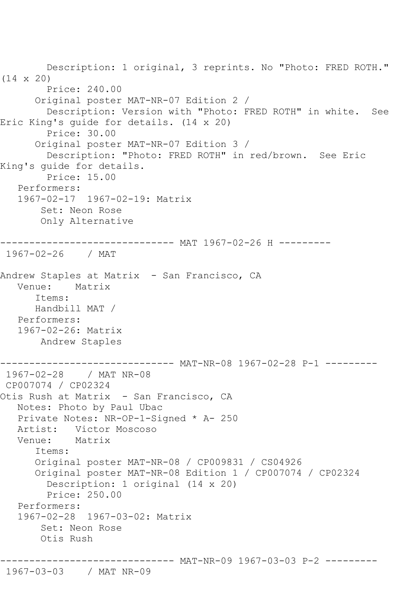Description: 1 original, 3 reprints. No "Photo: FRED ROTH." (14 x 20) Price: 240.00 Original poster MAT-NR-07 Edition 2 / Description: Version with "Photo: FRED ROTH" in white. See Eric King's guide for details. (14 x 20) Price: 30.00 Original poster MAT-NR-07 Edition 3 / Description: "Photo: FRED ROTH" in red/brown. See Eric King's guide for details. Price: 15.00 Performers: 1967-02-17 1967-02-19: Matrix Set: Neon Rose Only Alternative ------------------------------ MAT 1967-02-26 H --------- 1967-02-26 / MAT Andrew Staples at Matrix - San Francisco, CA Venue: Matrix Items: Handbill MAT / Performers: 1967-02-26: Matrix Andrew Staples ----------- MAT-NR-08 1967-02-28 P-1 ---------1967-02-28 / MAT NR-08 CP007074 / CP02324 Otis Rush at Matrix - San Francisco, CA Notes: Photo by Paul Ubac Private Notes: NR-OP-1-Signed \* A- 250 Artist: Victor Moscoso Venue: Matrix Items: Original poster MAT-NR-08 / CP009831 / CS04926 Original poster MAT-NR-08 Edition 1 / CP007074 / CP02324 Description: 1 original (14 x 20) Price: 250.00 Performers: 1967-02-28 1967-03-02: Matrix Set: Neon Rose Otis Rush ------------------------------ MAT-NR-09 1967-03-03 P-2 ---------

## 1967-03-03 / MAT NR-09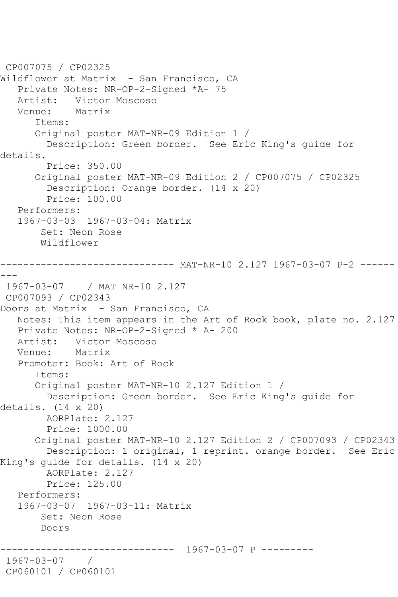```
CP007075 / CP02325
Wildflower at Matrix - San Francisco, CA
   Private Notes: NR-OP-2-Signed *A- 75
  Artist: Victor Moscoso<br>Venue: Matrix
            Matrix
       Items:
       Original poster MAT-NR-09 Edition 1 / 
         Description: Green border. See Eric King's guide for 
details.
         Price: 350.00
       Original poster MAT-NR-09 Edition 2 / CP007075 / CP02325
         Description: Orange border. (14 x 20)
         Price: 100.00
   Performers:
    1967-03-03 1967-03-04: Matrix
        Set: Neon Rose
        Wildflower
------------------------------ MAT-NR-10 2.127 1967-03-07 P-2 ------
---
1967-03-07 / MAT NR-10 2.127
CP007093 / CP02343
Doors at Matrix - San Francisco, CA
   Notes: This item appears in the Art of Rock book, plate no. 2.127
   Private Notes: NR-OP-2-Signed * A- 200
   Artist: Victor Moscoso
   Venue: Matrix
   Promoter: Book: Art of Rock
       Items:
       Original poster MAT-NR-10 2.127 Edition 1 / 
        Description: Green border. See Eric King's guide for 
details. (14 x 20)
         AORPlate: 2.127 
         Price: 1000.00
       Original poster MAT-NR-10 2.127 Edition 2 / CP007093 / CP02343
         Description: 1 original, 1 reprint. orange border. See Eric 
King's guide for details. (14 x 20)
        AORPlate: 2.127 
         Price: 125.00
   Performers:
    1967-03-07 1967-03-11: Matrix
        Set: Neon Rose
        Doors
                     ------------------------------ 1967-03-07 P ---------
1967-03-07 / 
CP060101 / CP060101
```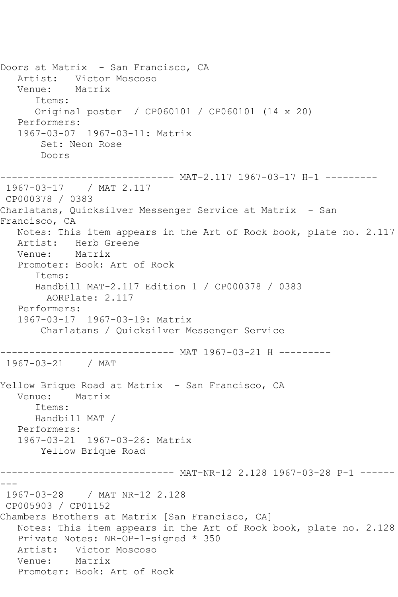Doors at Matrix - San Francisco, CA Artist: Victor Moscoso Venue: Matrix Items: Original poster / CP060101 / CP060101 (14 x 20) Performers: 1967-03-07 1967-03-11: Matrix Set: Neon Rose Doors ------------------------------ MAT-2.117 1967-03-17 H-1 --------- 1967-03-17 / MAT 2.117 CP000378 / 0383 Charlatans, Quicksilver Messenger Service at Matrix - San Francisco, CA Notes: This item appears in the Art of Rock book, plate no. 2.117 Artist: Herb Greene<br>Venue: Matrix Venue: Promoter: Book: Art of Rock Items: Handbill MAT-2.117 Edition 1 / CP000378 / 0383 AORPlate: 2.117 Performers: 1967-03-17 1967-03-19: Matrix Charlatans / Quicksilver Messenger Service ------------------------------ MAT 1967-03-21 H --------- 1967-03-21 / MAT Yellow Brique Road at Matrix - San Francisco, CA Venue: Matrix Items: Handbill MAT / Performers: 1967-03-21 1967-03-26: Matrix Yellow Brique Road ------------------------------ MAT-NR-12 2.128 1967-03-28 P-1 ------ --- 1967-03-28 / MAT NR-12 2.128 CP005903 / CP01152 Chambers Brothers at Matrix [San Francisco, CA] Notes: This item appears in the Art of Rock book, plate no. 2.128 Private Notes: NR-OP-1-signed \* 350 Artist: Victor Moscoso Venue: Matrix Promoter: Book: Art of Rock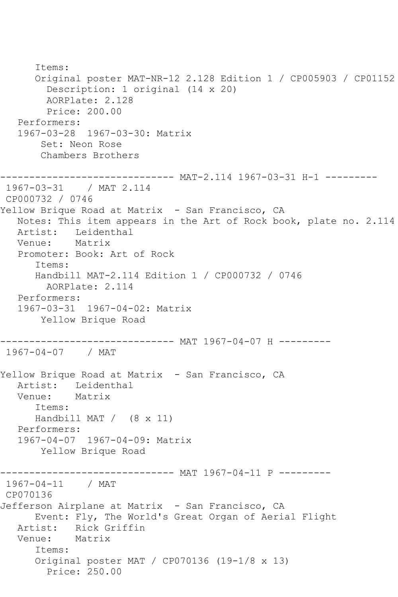```
 Items:
       Original poster MAT-NR-12 2.128 Edition 1 / CP005903 / CP01152
         Description: 1 original (14 x 20)
         AORPlate: 2.128 
         Price: 200.00
    Performers:
    1967-03-28 1967-03-30: Matrix
        Set: Neon Rose
        Chambers Brothers
------------------------------ MAT-2.114 1967-03-31 H-1 ---------
1967-03-31 / MAT 2.114
CP000732 / 0746
Yellow Brique Road at Matrix - San Francisco, CA
   Notes: This item appears in the Art of Rock book, plate no. 2.114
   Artist: Leidenthal
   Venue: Matrix
   Promoter: Book: Art of Rock
       Items:
       Handbill MAT-2.114 Edition 1 / CP000732 / 0746
         AORPlate: 2.114 
   Performers:
   1967-03-31 1967-04-02: Matrix
        Yellow Brique Road
 ------------------------------ MAT 1967-04-07 H ---------
1967-04-07 / MAT 
Yellow Brique Road at Matrix - San Francisco, CA
  Artist: Leidenthal<br>Venue: Matrix
  Venue:
       Items:
      Handbill MAT / (8 x 11)
   Performers:
   1967-04-07 1967-04-09: Matrix
        Yellow Brique Road
                    ------------------------------ MAT 1967-04-11 P ---------
1967-04-11 / MAT 
CP070136
Jefferson Airplane at Matrix - San Francisco, CA
       Event: Fly, The World's Great Organ of Aerial Flight
  Artist: Rick Griffin<br>Venue: Matrix
  Venue:
       Items:
       Original poster MAT / CP070136 (19-1/8 x 13)
         Price: 250.00
```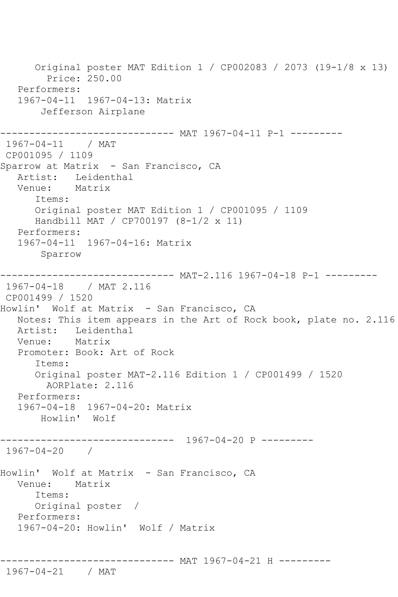Original poster MAT Edition 1 / CP002083 / 2073 (19-1/8 x 13) Price: 250.00 Performers: 1967-04-11 1967-04-13: Matrix Jefferson Airplane ------------------------------ MAT 1967-04-11 P-1 --------- 1967-04-11 / MAT CP001095 / 1109 Sparrow at Matrix - San Francisco, CA Artist: Leidenthal Venue: Matrix Items: Original poster MAT Edition 1 / CP001095 / 1109 Handbill MAT / CP700197 (8-1/2 x 11) Performers: 1967-04-11 1967-04-16: Matrix Sparrow ------------------------------ MAT-2.116 1967-04-18 P-1 --------- 1967-04-18 / MAT 2.116 CP001499 / 1520 Howlin' Wolf at Matrix - San Francisco, CA Notes: This item appears in the Art of Rock book, plate no. 2.116 Artist: Leidenthal<br>Venue: Matrix Venue: Promoter: Book: Art of Rock Items: Original poster MAT-2.116 Edition 1 / CP001499 / 1520 AORPlate: 2.116 Performers: 1967-04-18 1967-04-20: Matrix Howlin' Wolf ------------------------------ 1967-04-20 P --------- 1967-04-20 / Howlin' Wolf at Matrix - San Francisco, CA Venue: Matrix Items: Original poster / Performers: 1967-04-20: Howlin' Wolf / Matrix ------------------------------ MAT 1967-04-21 H --------- 1967-04-21 / MAT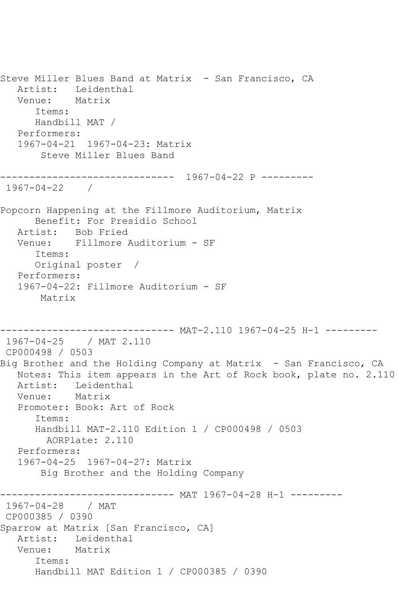Steve Miller Blues Band at Matrix - San Francisco, CA Artist: Leidenthal Venue: Matrix Items: Handbill MAT / Performers: 1967-04-21 1967-04-23: Matrix Steve Miller Blues Band ------------------------------ 1967-04-22 P --------- 1967-04-22 / Popcorn Happening at the Fillmore Auditorium, Matrix Benefit: For Presidio School Artist: Bob Fried Venue: Fillmore Auditorium - SF Items: Original poster / Performers: 1967-04-22: Fillmore Auditorium - SF Matrix ------------------------------ MAT-2.110 1967-04-25 H-1 --------- 1967-04-25 / MAT 2.110 CP000498 / 0503 Big Brother and the Holding Company at Matrix - San Francisco, CA Notes: This item appears in the Art of Rock book, plate no. 2.110 Artist: Leidenthal<br>Venue: Matrix Venue: Promoter: Book: Art of Rock Items: Handbill MAT-2.110 Edition 1 / CP000498 / 0503 AORPlate: 2.110 Performers: 1967-04-25 1967-04-27: Matrix Big Brother and the Holding Company \_\_\_\_\_\_\_\_\_\_\_\_\_\_\_ ------------ MAT 1967-04-28 H-1 ---------1967-04-28 / MAT CP000385 / 0390 Sparrow at Matrix [San Francisco, CA] Artist: Leidenthal Venue: Matrix Items: Handbill MAT Edition 1 / CP000385 / 0390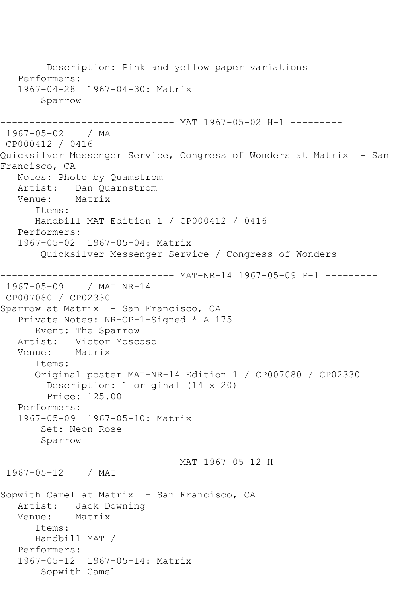Description: Pink and yellow paper variations Performers: 1967-04-28 1967-04-30: Matrix Sparrow ---------- MAT 1967-05-02 H-1 ---------1967-05-02 / MAT CP000412 / 0416 Quicksilver Messenger Service, Congress of Wonders at Matrix - San Francisco, CA Notes: Photo by Quamstrom Artist: Dan Quarnstrom<br>Venue: Matrix Venue: Items: Handbill MAT Edition 1 / CP000412 / 0416 Performers: 1967-05-02 1967-05-04: Matrix Quicksilver Messenger Service / Congress of Wonders ------------------------------ MAT-NR-14 1967-05-09 P-1 --------- 1967-05-09 / MAT NR-14 CP007080 / CP02330 Sparrow at Matrix - San Francisco, CA Private Notes: NR-OP-1-Signed \* A 175 Event: The Sparrow Artist: Victor Moscoso Venue: Matrix Items: Original poster MAT-NR-14 Edition 1 / CP007080 / CP02330 Description: 1 original (14 x 20) Price: 125.00 Performers: 1967-05-09 1967-05-10: Matrix Set: Neon Rose Sparrow ------------------------------ MAT 1967-05-12 H --------- 1967-05-12 / MAT Sopwith Camel at Matrix - San Francisco, CA Artist: Jack Downing Venue: Matrix Items: Handbill MAT / Performers: 1967-05-12 1967-05-14: Matrix Sopwith Camel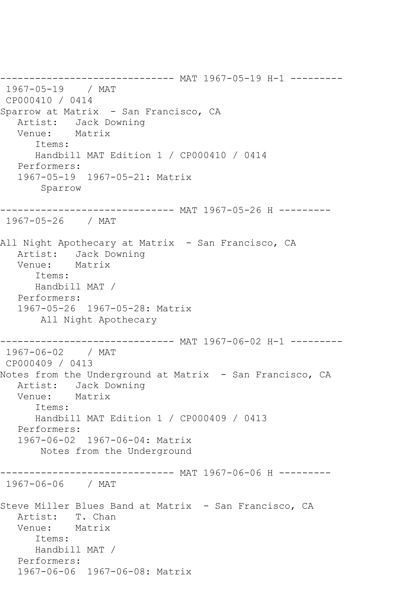------------------------------ MAT 1967-05-19 H-1 --------- 1967-05-19 / MAT CP000410 / 0414 Sparrow at Matrix - San Francisco, CA Artist: Jack Downing<br>Venue: Matrix Venue: Items: Handbill MAT Edition 1 / CP000410 / 0414 Performers: 1967-05-19 1967-05-21: Matrix Sparrow ------------------------------ MAT 1967-05-26 H --------- 1967-05-26 / MAT All Night Apothecary at Matrix - San Francisco, CA Artist: Jack Downing Venue: Matrix Items: Handbill MAT / Performers: 1967-05-26 1967-05-28: Matrix All Night Apothecary ------------------------------ MAT 1967-06-02 H-1 --------- 1967-06-02 / MAT CP000409 / 0413 Notes from the Underground at Matrix - San Francisco, CA Artist: Jack Downing<br>Venue: Matrix Venue: Items: Handbill MAT Edition 1 / CP000409 / 0413 Performers: 1967-06-02 1967-06-04: Matrix Notes from the Underground ------------------------------ MAT 1967-06-06 H --------- 1967-06-06 / MAT Steve Miller Blues Band at Matrix - San Francisco, CA Artist: T. Chan Venue: Matrix Items: Handbill MAT / Performers: 1967-06-06 1967-06-08: Matrix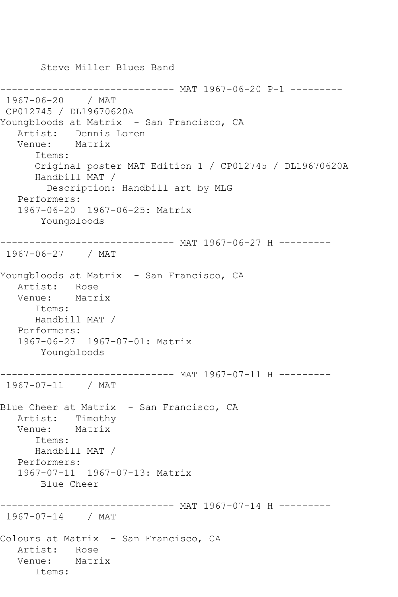Steve Miller Blues Band -------------- MAT 1967-06-20 P-1 ---------1967-06-20 / MAT CP012745 / DL19670620A Youngbloods at Matrix - San Francisco, CA Artist: Dennis Loren Venue: Matrix Items: Original poster MAT Edition 1 / CP012745 / DL19670620A Handbill MAT / Description: Handbill art by MLG Performers: 1967-06-20 1967-06-25: Matrix Youngbloods ------------------------------ MAT 1967-06-27 H --------- 1967-06-27 / MAT Youngbloods at Matrix - San Francisco, CA Artist: Rose Venue: Matrix Items: Handbill MAT / Performers: 1967-06-27 1967-07-01: Matrix Youngbloods ------------------------------ MAT 1967-07-11 H --------- 1967-07-11 / MAT Blue Cheer at Matrix - San Francisco, CA Artist: Timothy<br>Venue: Matrix Venue: Items: Handbill MAT / Performers: 1967-07-11 1967-07-13: Matrix Blue Cheer ------------------------------ MAT 1967-07-14 H --------- 1967-07-14 / MAT Colours at Matrix - San Francisco, CA Artist: Rose Venue: Matrix Items: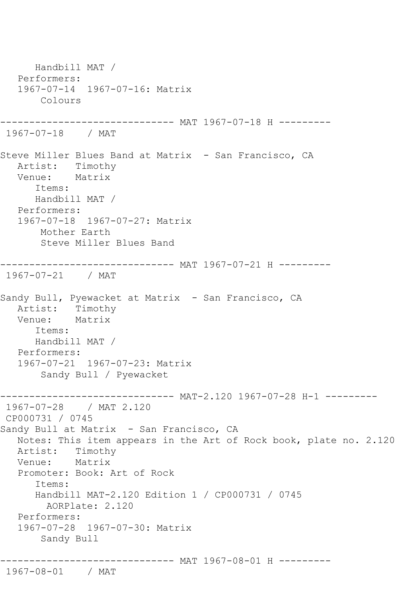Handbill MAT / Performers: 1967-07-14 1967-07-16: Matrix Colours ----------- MAT 1967-07-18 H ---------1967-07-18 / MAT Steve Miller Blues Band at Matrix - San Francisco, CA Artist: Timothy Venue: Matrix Items: Handbill MAT / Performers: 1967-07-18 1967-07-27: Matrix Mother Earth Steve Miller Blues Band ------------------------------ MAT 1967-07-21 H --------- 1967-07-21 / MAT Sandy Bull, Pyewacket at Matrix - San Francisco, CA Artist: Timothy Venue: Matrix Items: Handbill MAT / Performers: 1967-07-21 1967-07-23: Matrix Sandy Bull / Pyewacket ------------------------------ MAT-2.120 1967-07-28 H-1 --------- 1967-07-28 / MAT 2.120 CP000731 / 0745 Sandy Bull at Matrix - San Francisco, CA Notes: This item appears in the Art of Rock book, plate no. 2.120 Artist: Timothy Venue: Matrix Promoter: Book: Art of Rock Items: Handbill MAT-2.120 Edition 1 / CP000731 / 0745 AORPlate: 2.120 Performers: 1967-07-28 1967-07-30: Matrix Sandy Bull ------------------------------ MAT 1967-08-01 H --------- 1967-08-01 / MAT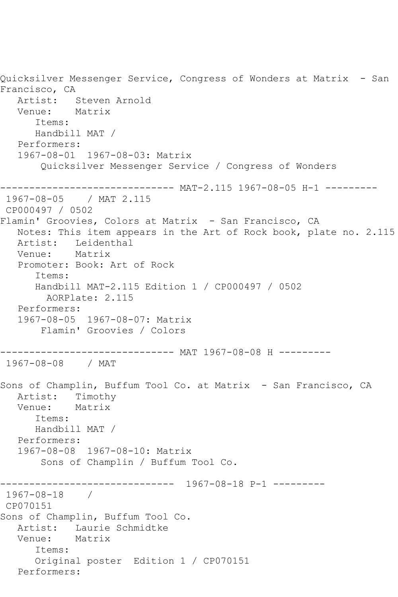Quicksilver Messenger Service, Congress of Wonders at Matrix - San Francisco, CA Artist: Steven Arnold<br>Venue: Matrix Venue: Items: Handbill MAT / Performers: 1967-08-01 1967-08-03: Matrix Quicksilver Messenger Service / Congress of Wonders ------------------------------ MAT-2.115 1967-08-05 H-1 --------- 1967-08-05 / MAT 2.115 CP000497 / 0502 Flamin' Groovies, Colors at Matrix - San Francisco, CA Notes: This item appears in the Art of Rock book, plate no. 2.115 Artist: Leidenthal<br>Venue: Matrix Venue: Promoter: Book: Art of Rock Items: Handbill MAT-2.115 Edition 1 / CP000497 / 0502 AORPlate: 2.115 Performers: 1967-08-05 1967-08-07: Matrix Flamin' Groovies / Colors ------------------------------ MAT 1967-08-08 H --------- 1967-08-08 / MAT Sons of Champlin, Buffum Tool Co. at Matrix - San Francisco, CA Artist: Timothy Venue: Matrix Items: Handbill MAT / Performers: 1967-08-08 1967-08-10: Matrix Sons of Champlin / Buffum Tool Co. ------------------------------ 1967-08-18 P-1 --------- 1967-08-18 / CP070151 Sons of Champlin, Buffum Tool Co. Artist: Laurie Schmidtke<br>Venue: Matrix Venue: Items: Original poster Edition 1 / CP070151 Performers: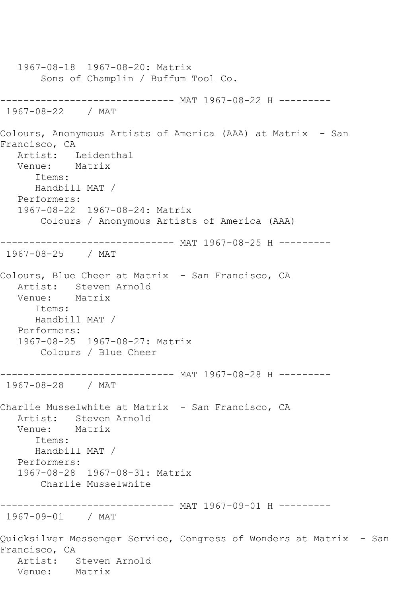1967-08-18 1967-08-20: Matrix Sons of Champlin / Buffum Tool Co. ------------------------------ MAT 1967-08-22 H --------- 1967-08-22 / MAT Colours, Anonymous Artists of America (AAA) at Matrix - San Francisco, CA Artist: Leidenthal Venue: Matrix Items: Handbill MAT / Performers: 1967-08-22 1967-08-24: Matrix Colours / Anonymous Artists of America (AAA) ------------------------------ MAT 1967-08-25 H --------- 1967-08-25 / MAT Colours, Blue Cheer at Matrix - San Francisco, CA Artist: Steven Arnold Venue: Matrix Items: Handbill MAT / Performers: 1967-08-25 1967-08-27: Matrix Colours / Blue Cheer ------------------------------ MAT 1967-08-28 H --------- 1967-08-28 / MAT Charlie Musselwhite at Matrix - San Francisco, CA Artist: Steven Arnold<br>Venue: Matrix Venue: Items: Handbill MAT / Performers: 1967-08-28 1967-08-31: Matrix Charlie Musselwhite ------------------------------ MAT 1967-09-01 H --------- 1967-09-01 / MAT Quicksilver Messenger Service, Congress of Wonders at Matrix - San Francisco, CA Artist: Steven Arnold<br>Venue: Matrix Venue: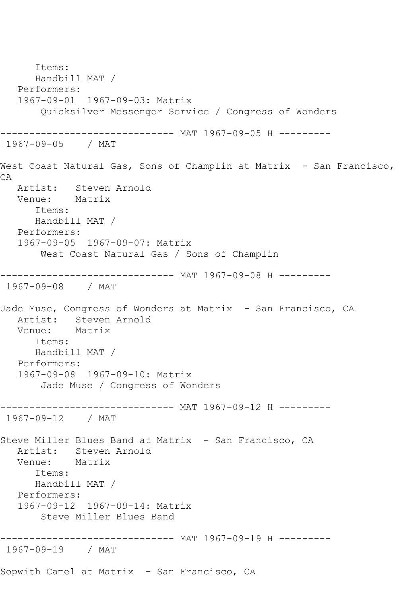Items: Handbill MAT / Performers: 1967-09-01 1967-09-03: Matrix Quicksilver Messenger Service / Congress of Wonders ------------------------------ MAT 1967-09-05 H --------- 1967-09-05 / MAT West Coast Natural Gas, Sons of Champlin at Matrix - San Francisco, CA Artist: Steven Arnold<br>Venue: Matrix Venue: Items: Handbill MAT / Performers: 1967-09-05 1967-09-07: Matrix West Coast Natural Gas / Sons of Champlin ------------------------------ MAT 1967-09-08 H --------- 1967-09-08 / MAT Jade Muse, Congress of Wonders at Matrix - San Francisco, CA Artist: Steven Arnold Venue: Matrix Items: Handbill MAT / Performers: 1967-09-08 1967-09-10: Matrix Jade Muse / Congress of Wonders ------------------------------ MAT 1967-09-12 H --------- 1967-09-12 / MAT Steve Miller Blues Band at Matrix - San Francisco, CA Artist: Steven Arnold<br>Venue: Matrix Venue: Items: Handbill MAT / Performers: 1967-09-12 1967-09-14: Matrix Steve Miller Blues Band ------------------------------ MAT 1967-09-19 H --------- 1967-09-19 / MAT Sopwith Camel at Matrix - San Francisco, CA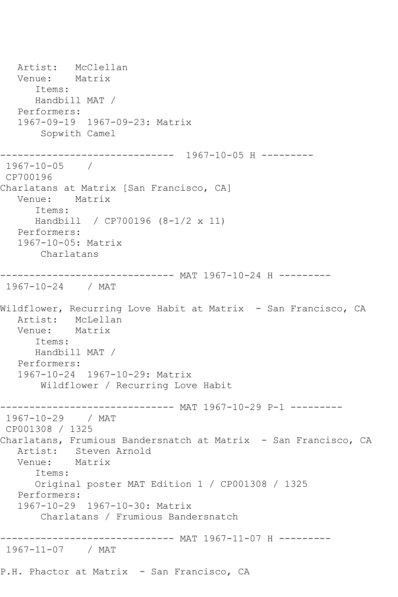Artist: McClellan<br>Venue: Matrix Venue: Items: Handbill MAT / Performers: 1967-09-19 1967-09-23: Matrix Sopwith Camel ------------------------------ 1967-10-05 H --------- 1967-10-05 / CP700196 Charlatans at Matrix [San Francisco, CA] Venue: Matrix Items: Handbill / CP700196 (8-1/2 x 11) Performers: 1967-10-05: Matrix Charlatans ------------------------------ MAT 1967-10-24 H --------- 1967-10-24 / MAT Wildflower, Recurring Love Habit at Matrix - San Francisco, CA Artist: McLellan Venue: Matrix Items: Handbill MAT / Performers: 1967-10-24 1967-10-29: Matrix Wildflower / Recurring Love Habit ------------------------------ MAT 1967-10-29 P-1 --------- 1967-10-29 / MAT CP001308 / 1325 Charlatans, Frumious Bandersnatch at Matrix - San Francisco, CA Artist: Steven Arnold<br>Venue: Matrix Venue: Items: Original poster MAT Edition 1 / CP001308 / 1325 Performers: 1967-10-29 1967-10-30: Matrix Charlatans / Frumious Bandersnatch ------------------------------ MAT 1967-11-07 H --------- 1967-11-07 / MAT P.H. Phactor at Matrix - San Francisco, CA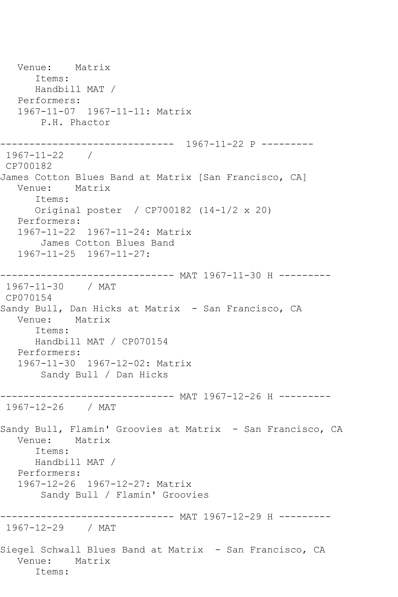Venue: Matrix Items: Handbill MAT / Performers: 1967-11-07 1967-11-11: Matrix P.H. Phactor ------------------------------ 1967-11-22 P --------- 1967-11-22 / CP700182 James Cotton Blues Band at Matrix [San Francisco, CA] Venue: Matrix Items: Original poster / CP700182 (14-1/2 x 20) Performers: 1967-11-22 1967-11-24: Matrix James Cotton Blues Band 1967-11-25 1967-11-27: ------------------------------ MAT 1967-11-30 H --------- 1967-11-30 / MAT CP070154 Sandy Bull, Dan Hicks at Matrix - San Francisco, CA<br>Venue: Matrix Matrix Items: Handbill MAT / CP070154 Performers: 1967-11-30 1967-12-02: Matrix Sandy Bull / Dan Hicks ------------------------------ MAT 1967-12-26 H --------- 1967-12-26 / MAT Sandy Bull, Flamin' Groovies at Matrix - San Francisco, CA Venue: Matrix Items: Handbill MAT / Performers: 1967-12-26 1967-12-27: Matrix Sandy Bull / Flamin' Groovies ------------------------------ MAT 1967-12-29 H --------- 1967-12-29 / MAT Siegel Schwall Blues Band at Matrix - San Francisco, CA Venue: Matrix Items: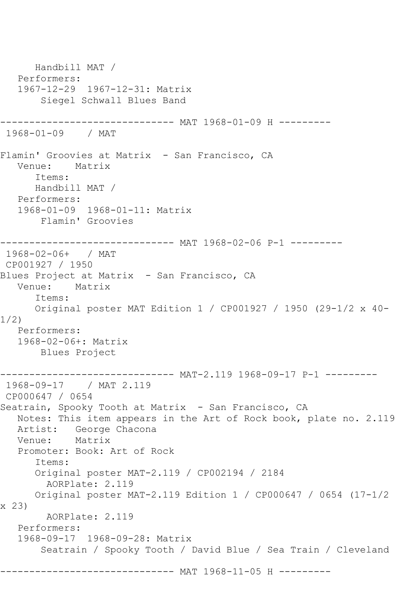Handbill MAT / Performers: 1967-12-29 1967-12-31: Matrix Siegel Schwall Blues Band ------------ MAT 1968-01-09 H ---------1968-01-09 / MAT Flamin' Groovies at Matrix - San Francisco, CA Venue: Matrix Items: Handbill MAT / Performers: 1968-01-09 1968-01-11: Matrix Flamin' Groovies ------------------------------ MAT 1968-02-06 P-1 --------- 1968-02-06+ / MAT CP001927 / 1950 Blues Project at Matrix - San Francisco, CA Venue: Matrix Items: Original poster MAT Edition 1 / CP001927 / 1950 (29-1/2 x 40- 1/2) Performers: 1968-02-06+: Matrix Blues Project ------------------------------ MAT-2.119 1968-09-17 P-1 --------- 1968-09-17 / MAT 2.119 CP000647 / 0654 Seatrain, Spooky Tooth at Matrix - San Francisco, CA Notes: This item appears in the Art of Rock book, plate no. 2.119 Artist: George Chacona Venue: Matrix Promoter: Book: Art of Rock Items: Original poster MAT-2.119 / CP002194 / 2184 AORPlate: 2.119 Original poster MAT-2.119 Edition 1 / CP000647 / 0654 (17-1/2 x 23) AORPlate: 2.119 Performers: 1968-09-17 1968-09-28: Matrix Seatrain / Spooky Tooth / David Blue / Sea Train / Cleveland --------------- MAT 1968-11-05 H ---------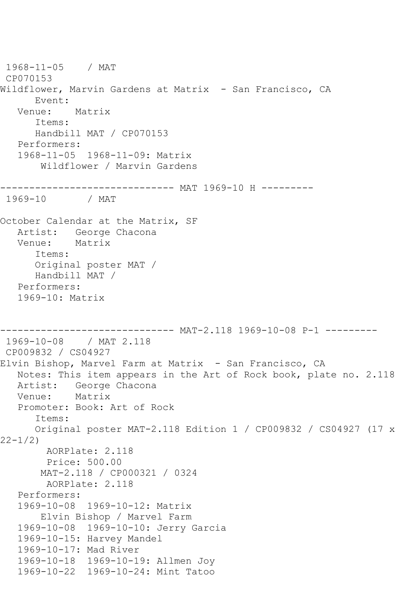```
1968-11-05 / MAT 
CP070153
Wildflower, Marvin Gardens at Matrix - San Francisco, CA
       Event: 
   Venue: Matrix
       Items:
       Handbill MAT / CP070153
   Performers:
   1968-11-05 1968-11-09: Matrix
        Wildflower / Marvin Gardens
------------------------------ MAT 1969-10 H ---------<br>1969-10    / MAT
1969 - 10October Calendar at the Matrix, SF
   Artist: George Chacona
   Venue: Matrix
       Items:
       Original poster MAT / 
       Handbill MAT / 
   Performers:
   1969-10: Matrix
               ------------------------------ MAT-2.118 1969-10-08 P-1 ---------
1969-10-08 / MAT 2.118
CP009832 / CS04927
Elvin Bishop, Marvel Farm at Matrix - San Francisco, CA
   Notes: This item appears in the Art of Rock book, plate no. 2.118
  Artist: George Chacona<br>Venue: Matrix
  Venue:
   Promoter: Book: Art of Rock
       Items:
       Original poster MAT-2.118 Edition 1 / CP009832 / CS04927 (17 x 
22-1/2)
        AORPlate: 2.118 
         Price: 500.00
        MAT-2.118 / CP000321 / 0324
         AORPlate: 2.118 
   Performers:
    1969-10-08 1969-10-12: Matrix
        Elvin Bishop / Marvel Farm
   1969-10-08 1969-10-10: Jerry Garcia
   1969-10-15: Harvey Mandel
    1969-10-17: Mad River
   1969-10-18 1969-10-19: Allmen Joy
   1969-10-22 1969-10-24: Mint Tatoo
```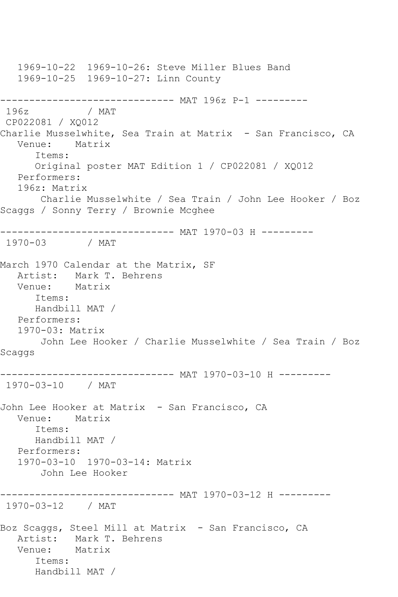1969-10-22 1969-10-26: Steve Miller Blues Band 1969-10-25 1969-10-27: Linn County ------------------------------- MAT 196z P-1 ---------<br>196z / MAT / MAT CP022081 / XQ012 Charlie Musselwhite, Sea Train at Matrix - San Francisco, CA Venue: Matrix Items: Original poster MAT Edition 1 / CP022081 / XQ012 Performers: 196z: Matrix Charlie Musselwhite / Sea Train / John Lee Hooker / Boz Scaggs / Sonny Terry / Brownie Mcghee ------------------------------ MAT 1970-03 H --------- 1970-03 / MAT March 1970 Calendar at the Matrix, SF Artist: Mark T. Behrens<br>Venue: Matrix Venue: Items: Handbill MAT / Performers: 1970-03: Matrix John Lee Hooker / Charlie Musselwhite / Sea Train / Boz Scaggs ------------------------------ MAT 1970-03-10 H --------- 1970-03-10 / MAT John Lee Hooker at Matrix - San Francisco, CA Venue: Matrix Items: Handbill MAT / Performers: 1970-03-10 1970-03-14: Matrix John Lee Hooker ------------------------------ MAT 1970-03-12 H --------- 1970-03-12 / MAT Boz Scaggs, Steel Mill at Matrix - San Francisco, CA Artist: Mark T. Behrens Venue: Matrix Items: Handbill MAT /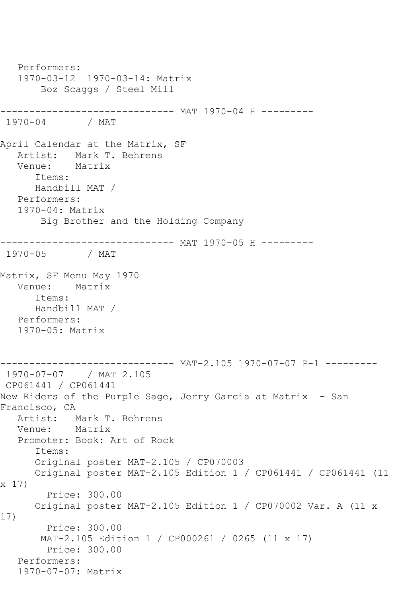Performers: 1970-03-12 1970-03-14: Matrix Boz Scaggs / Steel Mill ------------------------------ MAT 1970-04 H --------- 1970-04 / MAT April Calendar at the Matrix, SF<br>Artist: Mark T. Behrens Mark T. Behrens Venue: Matrix Items: Handbill MAT / Performers: 1970-04: Matrix Big Brother and the Holding Company ------------------------------ MAT 1970-05 H ---------<br>1970-05 / MAT / MAT Matrix, SF Menu May 1970 Venue: Matrix Items: Handbill MAT / Performers: 1970-05: Matrix ------------------------------ MAT-2.105 1970-07-07 P-1 --------- 1970-07-07 / MAT 2.105 CP061441 / CP061441 New Riders of the Purple Sage, Jerry Garcia at Matrix - San Francisco, CA Artist: Mark T. Behrens<br>Venue: Matrix Venue: Promoter: Book: Art of Rock Items: Original poster MAT-2.105 / CP070003 Original poster MAT-2.105 Edition 1 / CP061441 / CP061441 (11 x 17) Price: 300.00 Original poster MAT-2.105 Edition 1 / CP070002 Var. A (11 x 17) Price: 300.00 MAT-2.105 Edition 1 / CP000261 / 0265 (11 x 17) Price: 300.00 Performers: 1970-07-07: Matrix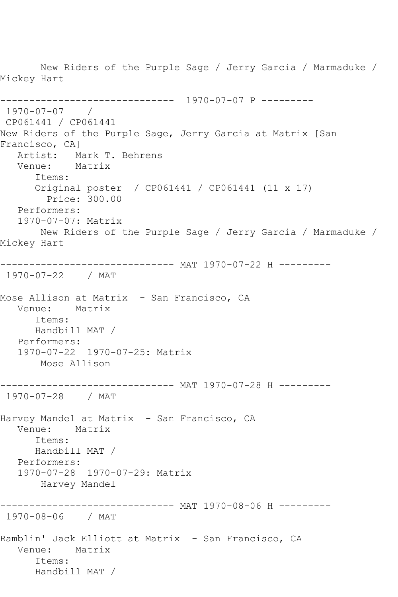New Riders of the Purple Sage / Jerry Garcia / Marmaduke / Mickey Hart ------------------------------ 1970-07-07 P --------- 1970-07-07 / CP061441 / CP061441 New Riders of the Purple Sage, Jerry Garcia at Matrix [San Francisco, CA] Artist: Mark T. Behrens Venue: Matrix Items: Original poster / CP061441 / CP061441 (11 x 17) Price: 300.00 Performers: 1970-07-07: Matrix New Riders of the Purple Sage / Jerry Garcia / Marmaduke / Mickey Hart ------------------------------ MAT 1970-07-22 H --------- 1970-07-22 / MAT Mose Allison at Matrix - San Francisco, CA Venue: Matrix Items: Handbill MAT / Performers: 1970-07-22 1970-07-25: Matrix Mose Allison ------------------------------ MAT 1970-07-28 H --------- 1970-07-28 / MAT Harvey Mandel at Matrix - San Francisco, CA Venue: Matrix Items: Handbill MAT / Performers: 1970-07-28 1970-07-29: Matrix Harvey Mandel ------------------------------ MAT 1970-08-06 H --------- 1970-08-06 / MAT Ramblin' Jack Elliott at Matrix - San Francisco, CA Venue: Matrix Items: Handbill MAT /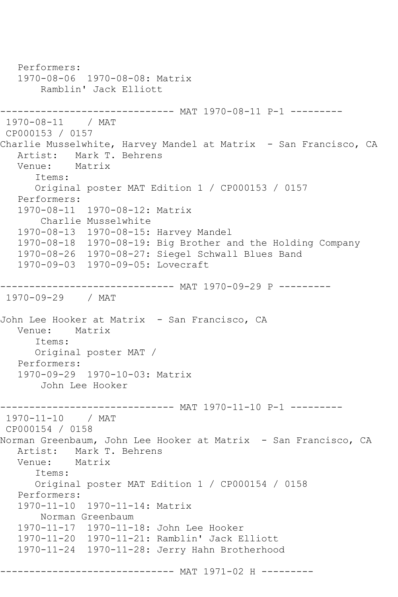```
 Performers:
   1970-08-06 1970-08-08: Matrix
        Ramblin' Jack Elliott
------------------------------ MAT 1970-08-11 P-1 ---------
1970-08-11 / MAT 
CP000153 / 0157
Charlie Musselwhite, Harvey Mandel at Matrix - San Francisco, CA
  Artist: Mark T. Behrens<br>Venue: Matrix
  Venue:
       Items:
      Original poster MAT Edition 1 / CP000153 / 0157
   Performers:
   1970-08-11 1970-08-12: Matrix
       Charlie Musselwhite
   1970-08-13 1970-08-15: Harvey Mandel
   1970-08-18 1970-08-19: Big Brother and the Holding Company
   1970-08-26 1970-08-27: Siegel Schwall Blues Band
   1970-09-03 1970-09-05: Lovecraft
------------------------------ MAT 1970-09-29 P ---------
1970-09-29 / MAT 
John Lee Hooker at Matrix - San Francisco, CA
   Venue: Matrix
      Items:
       Original poster MAT / 
   Performers:
   1970-09-29 1970-10-03: Matrix
        John Lee Hooker
------------------------------ MAT 1970-11-10 P-1 ---------
1970-11-10 / MAT 
CP000154 / 0158
Norman Greenbaum, John Lee Hooker at Matrix - San Francisco, CA
  Artist: Mark T. Behrens<br>Venue: Matrix
  Venue:
       Items:
      Original poster MAT Edition 1 / CP000154 / 0158
   Performers:
   1970-11-10 1970-11-14: Matrix
       Norman Greenbaum
   1970-11-17 1970-11-18: John Lee Hooker
   1970-11-20 1970-11-21: Ramblin' Jack Elliott
   1970-11-24 1970-11-28: Jerry Hahn Brotherhood
------------------------------ MAT 1971-02 H ---------
```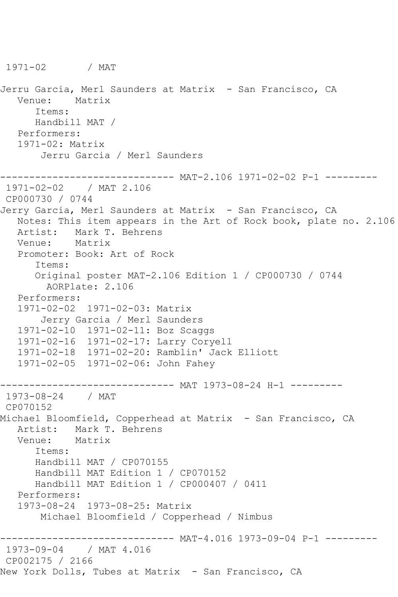Jerru Garcia, Merl Saunders at Matrix - San Francisco, CA Venue: Matrix Items: Handbill MAT / Performers: 1971-02: Matrix Jerru Garcia / Merl Saunders ------------------------------ MAT-2.106 1971-02-02 P-1 --------- 1971-02-02 / MAT 2.106 CP000730 / 0744 Jerry Garcia, Merl Saunders at Matrix - San Francisco, CA Notes: This item appears in the Art of Rock book, plate no. 2.106 Artist: Mark T. Behrens Venue: Matrix Promoter: Book: Art of Rock Items: Original poster MAT-2.106 Edition 1 / CP000730 / 0744 AORPlate: 2.106 Performers: 1971-02-02 1971-02-03: Matrix Jerry Garcia / Merl Saunders 1971-02-10 1971-02-11: Boz Scaggs 1971-02-16 1971-02-17: Larry Coryell 1971-02-18 1971-02-20: Ramblin' Jack Elliott 1971-02-05 1971-02-06: John Fahey ------------------------------ MAT 1973-08-24 H-1 --------- 1973-08-24 / MAT CP070152 Michael Bloomfield, Copperhead at Matrix - San Francisco, CA Artist: Mark T. Behrens Venue: Matrix Items: Handbill MAT / CP070155 Handbill MAT Edition 1 / CP070152 Handbill MAT Edition 1 / CP000407 / 0411 Performers: 1973-08-24 1973-08-25: Matrix Michael Bloomfield / Copperhead / Nimbus ------------------------------ MAT-4.016 1973-09-04 P-1 --------- 1973-09-04 / MAT 4.016 CP002175 / 2166 New York Dolls, Tubes at Matrix - San Francisco, CA

1971-02 / MAT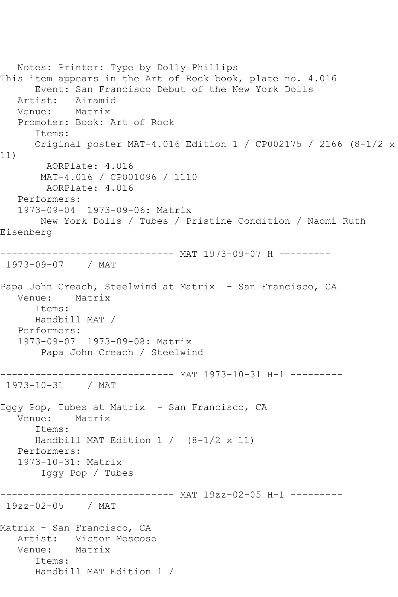Notes: Printer: Type by Dolly Phillips This item appears in the Art of Rock book, plate no. 4.016 Event: San Francisco Debut of the New York Dolls Artist: Airamid<br>Venue: Matrix Venue: Promoter: Book: Art of Rock Items: Original poster MAT-4.016 Edition 1 / CP002175 / 2166 (8-1/2 x 11) AORPlate: 4.016 MAT-4.016 / CP001096 / 1110 AORPlate: 4.016 Performers: 1973-09-04 1973-09-06: Matrix New York Dolls / Tubes / Pristine Condition / Naomi Ruth Eisenberg ------------------------------ MAT 1973-09-07 H --------- 1973-09-07 / MAT Papa John Creach, Steelwind at Matrix - San Francisco, CA Venue: Matrix Items: Handbill MAT / Performers: 1973-09-07 1973-09-08: Matrix Papa John Creach / Steelwind ------------------------------ MAT 1973-10-31 H-1 --------- 1973-10-31 / MAT Iggy Pop, Tubes at Matrix - San Francisco, CA Venue: Matrix Items: Handbill MAT Edition  $1 / (8-1/2 \times 11)$  Performers: 1973-10-31: Matrix Iggy Pop / Tubes ------------------------------ MAT 19zz-02-05 H-1 --------- 19zz-02-05 / MAT Matrix - San Francisco, CA Artist: Victor Moscoso Venue: Matrix Items: Handbill MAT Edition 1 /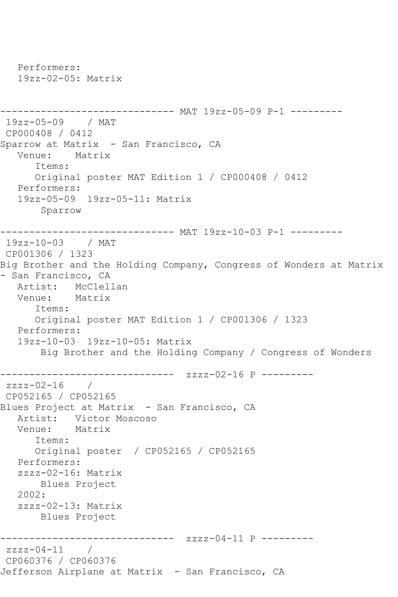```
 Performers:
   19zz-02-05: Matrix
------------------------------ MAT 19zz-05-09 P-1 ---------
19zz-05-09 / MAT 
CP000408 / 0412
Sparrow at Matrix - San Francisco, CA
   Venue: Matrix
       Items:
       Original poster MAT Edition 1 / CP000408 / 0412
   Performers:
   19zz-05-09 19zz-05-11: Matrix
        Sparrow
------------------------------ MAT 19zz-10-03 P-1 ---------
19zz-10-03 / MAT 
CP001306 / 1323
Big Brother and the Holding Company, Congress of Wonders at Matrix 
- San Francisco, CA
   Artist: McClellan
   Venue: Matrix
      Items:
       Original poster MAT Edition 1 / CP001306 / 1323
   Performers:
   19zz-10-03 19zz-10-05: Matrix
        Big Brother and the Holding Company / Congress of Wonders
------------------------------ zzzz-02-16 P ---------
zzzz-02-16 / 
CP052165 / CP052165
Blues Project at Matrix - San Francisco, CA
  Artist: Victor Moscoso<br>Venue: Matrix
  Venue:
       Items:
      Original poster / CP052165 / CP052165
   Performers:
   zzzz-02-16: Matrix
       Blues Project
   2002:
   zzzz-02-13: Matrix
       Blues Project
------------------------------ zzzz-04-11 P ---------
zzzz-04-11 / 
CP060376 / CP060376
Jefferson Airplane at Matrix - San Francisco, CA
```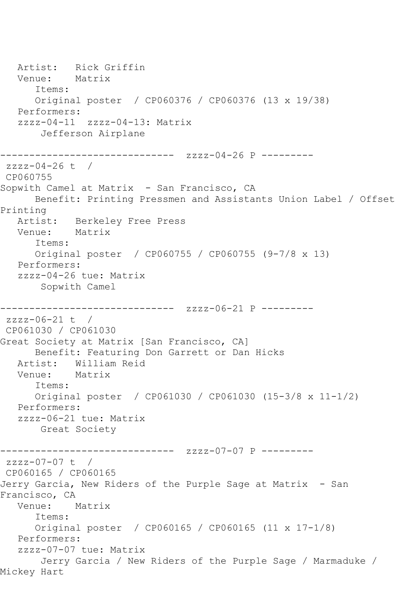Artist: Rick Griffin<br>Venue: Matrix Venue: Items: Original poster / CP060376 / CP060376 (13 x 19/38) Performers: zzzz-04-11 zzzz-04-13: Matrix Jefferson Airplane ------------------------ zzzz-04-26 P --------zzzz-04-26 t / CP060755 Sopwith Camel at Matrix - San Francisco, CA Benefit: Printing Pressmen and Assistants Union Label / Offset Printing<br>Artist: Berkeley Free Press<br>Matrix Venue: Items: Original poster / CP060755 / CP060755 (9-7/8 x 13) Performers: zzzz-04-26 tue: Matrix Sopwith Camel ------------------------------ zzzz-06-21 P --------  $zzzz-06-21$  t / CP061030 / CP061030 Great Society at Matrix [San Francisco, CA] Benefit: Featuring Don Garrett or Dan Hicks Artist: William Reid Venue: Matrix Items: Original poster / CP061030 / CP061030 (15-3/8 x 11-1/2) Performers: zzzz-06-21 tue: Matrix Great Society ------------------------------ zzzz-07-07 P -------- zzzz-07-07 t / CP060165 / CP060165 Jerry Garcia, New Riders of the Purple Sage at Matrix - San Francisco, CA Venue: Matrix Items: Original poster / CP060165 / CP060165 (11 x 17-1/8) Performers: zzzz-07-07 tue: Matrix Jerry Garcia / New Riders of the Purple Sage / Marmaduke / Mickey Hart